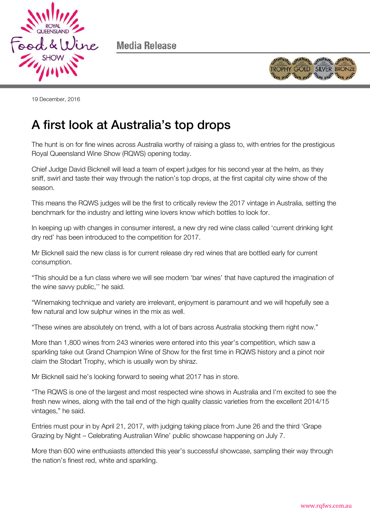

Media Release



19 December, 2016

## A first look at Australia's top drops

The hunt is on for fine wines across Australia worthy of raising a glass to, with entries for the prestigious Royal Queensland Wine Show (RQWS) opening today.

Chief Judge David Bicknell will lead a team of expert judges for his second year at the helm, as they sniff, swirl and taste their way through the nation's top drops, at the first capital city wine show of the season.

This means the RQWS judges will be the first to critically review the 2017 vintage in Australia, setting the benchmark for the industry and letting wine lovers know which bottles to look for.

In keeping up with changes in consumer interest, a new dry red wine class called 'current drinking light dry red' has been introduced to the competition for 2017.

Mr Bicknell said the new class is for current release dry red wines that are bottled early for current consumption.

"This should be a fun class where we will see modern 'bar wines' that have captured the imagination of the wine savvy public,'' he said.

"Winemaking technique and variety are irrelevant, enjoyment is paramount and we will hopefully see a few natural and low sulphur wines in the mix as well.

"These wines are absolutely on trend, with a lot of bars across Australia stocking them right now."

More than 1,800 wines from 243 wineries were entered into this year's competition, which saw a sparkling take out Grand Champion Wine of Show for the first time in RQWS history and a pinot noir claim the Stodart Trophy, which is usually won by shiraz.

Mr Bicknell said he's looking forward to seeing what 2017 has in store.

"The RQWS is one of the largest and most respected wine shows in Australia and I'm excited to see the fresh new wines, along with the tail end of the high quality classic varieties from the excellent 2014/15 vintages," he said.

Entries must pour in by April 21, 2017, with judging taking place from June 26 and the third 'Grape Grazing by Night – Celebrating Australian Wine' public showcase happening on July 7.

More than 600 wine enthusiasts attended this year's successful showcase, sampling their way through the nation's finest red, white and sparkling.